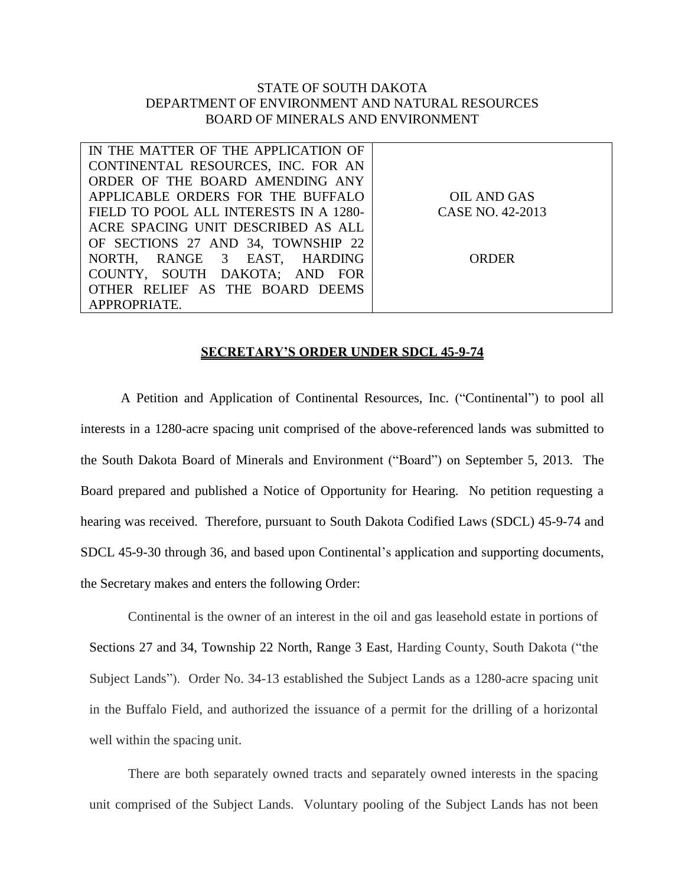## STATE OF SOUTH DAKOTA DEPARTMENT OF ENVIRONMENT AND NATURAL RESOURCES BOARD OF MINERALS AND ENVIRONMENT

| IN THE MATTER OF THE APPLICATION OF    |                  |
|----------------------------------------|------------------|
| CONTINENTAL RESOURCES, INC. FOR AN     |                  |
| ORDER OF THE BOARD AMENDING ANY        |                  |
| APPLICABLE ORDERS FOR THE BUFFALO      | OIL AND GAS      |
| FIELD TO POOL ALL INTERESTS IN A 1280- | CASE NO. 42-2013 |
| ACRE SPACING UNIT DESCRIBED AS ALL     |                  |
| OF SECTIONS 27 AND 34, TOWNSHIP 22     |                  |
| NORTH, RANGE 3 EAST, HARDING           | <b>ORDER</b>     |
| COUNTY, SOUTH DAKOTA; AND FOR          |                  |
| OTHER RELIEF AS THE BOARD DEEMS        |                  |
| APPROPRIATE.                           |                  |

## **SECRETARY'S ORDER UNDER SDCL 45-9-74**

A Petition and Application of Continental Resources, Inc. ("Continental") to pool all interests in a 1280-acre spacing unit comprised of the above-referenced lands was submitted to the South Dakota Board of Minerals and Environment ("Board") on September 5, 2013. The Board prepared and published a Notice of Opportunity for Hearing. No petition requesting a hearing was received. Therefore, pursuant to South Dakota Codified Laws (SDCL) 45-9-74 and SDCL 45-9-30 through 36, and based upon Continental's application and supporting documents, the Secretary makes and enters the following Order:

Continental is the owner of an interest in the oil and gas leasehold estate in portions of Sections 27 and 34, Township 22 North, Range 3 East, Harding County, South Dakota ("the Subject Lands"). Order No. 34-13 established the Subject Lands as a 1280-acre spacing unit in the Buffalo Field, and authorized the issuance of a permit for the drilling of a horizontal well within the spacing unit.

There are both separately owned tracts and separately owned interests in the spacing unit comprised of the Subject Lands. Voluntary pooling of the Subject Lands has not been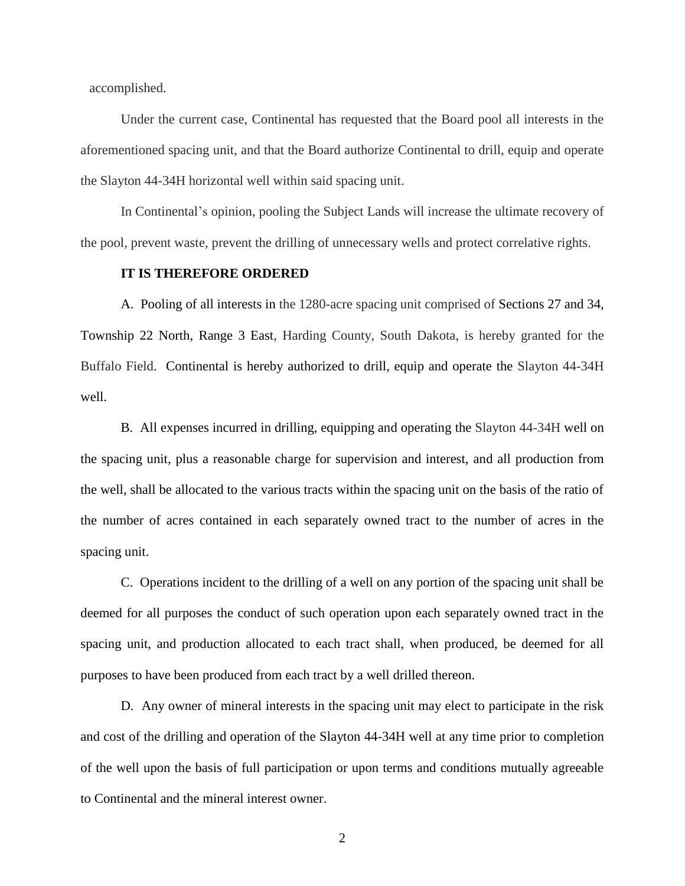accomplished.

Under the current case, Continental has requested that the Board pool all interests in the aforementioned spacing unit, and that the Board authorize Continental to drill, equip and operate the Slayton 44-34H horizontal well within said spacing unit.

In Continental's opinion, pooling the Subject Lands will increase the ultimate recovery of the pool, prevent waste, prevent the drilling of unnecessary wells and protect correlative rights.

## **IT IS THEREFORE ORDERED**

A. Pooling of all interests in the 1280-acre spacing unit comprised of Sections 27 and 34, Township 22 North, Range 3 East, Harding County, South Dakota, is hereby granted for the Buffalo Field. Continental is hereby authorized to drill, equip and operate the Slayton 44-34H well.

B. All expenses incurred in drilling, equipping and operating the Slayton 44-34H well on the spacing unit, plus a reasonable charge for supervision and interest, and all production from the well, shall be allocated to the various tracts within the spacing unit on the basis of the ratio of the number of acres contained in each separately owned tract to the number of acres in the spacing unit.

C. Operations incident to the drilling of a well on any portion of the spacing unit shall be deemed for all purposes the conduct of such operation upon each separately owned tract in the spacing unit, and production allocated to each tract shall, when produced, be deemed for all purposes to have been produced from each tract by a well drilled thereon.

D. Any owner of mineral interests in the spacing unit may elect to participate in the risk and cost of the drilling and operation of the Slayton 44-34H well at any time prior to completion of the well upon the basis of full participation or upon terms and conditions mutually agreeable to Continental and the mineral interest owner.

2